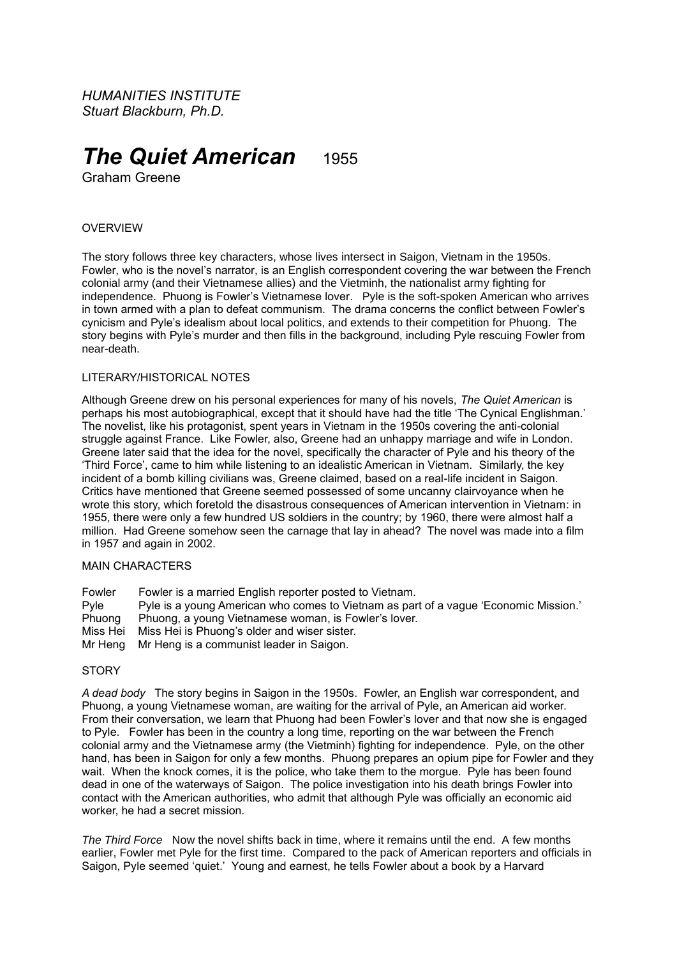*HUMANITIES INSTITUTE Stuart Blackburn, Ph.D.*

# *The Quiet American* 1955

Graham Greene

## **OVERVIEW**

The story follows three key characters, whose lives intersect in Saigon, Vietnam in the 1950s. Fowler, who is the novel's narrator, is an English correspondent covering the war between the French colonial army (and their Vietnamese allies) and the Vietminh, the nationalist army fighting for independence. Phuong is Fowler's Vietnamese lover. Pyle is the soft-spoken American who arrives in town armed with a plan to defeat communism. The drama concerns the conflict between Fowler's cynicism and Pyle's idealism about local politics, and extends to their competition for Phuong. The story begins with Pyle's murder and then fills in the background, including Pyle rescuing Fowler from near-death.

#### LITERARY/HISTORICAL NOTES

Although Greene drew on his personal experiences for many of his novels, *The Quiet American* is perhaps his most autobiographical, except that it should have had the title 'The Cynical Englishman.' The novelist, like his protagonist, spent years in Vietnam in the 1950s covering the anti-colonial struggle against France. Like Fowler, also, Greene had an unhappy marriage and wife in London. Greene later said that the idea for the novel, specifically the character of Pyle and his theory of the 'Third Force', came to him while listening to an idealistic American in Vietnam. Similarly, the key incident of a bomb killing civilians was, Greene claimed, based on a real-life incident in Saigon. Critics have mentioned that Greene seemed possessed of some uncanny clairvoyance when he wrote this story, which foretold the disastrous consequences of American intervention in Vietnam: in 1955, there were only a few hundred US soldiers in the country; by 1960, there were almost half a million. Had Greene somehow seen the carnage that lay in ahead? The novel was made into a film in 1957 and again in 2002.

## MAIN CHARACTERS

Fowler Fowler is a married English reporter posted to Vietnam. Pyle is a young American who comes to Vietnam as part of a vague 'Economic Mission.' Phuong Phuong, a young Vietnamese woman, is Fowler's lover. Miss Hei Miss Hei is Phuong's older and wiser sister. Mr Heng Mr Heng is a communist leader in Saigon.

#### **STORY**

*A dead body* The story begins in Saigon in the 1950s. Fowler, an English war correspondent, and Phuong, a young Vietnamese woman, are waiting for the arrival of Pyle, an American aid worker. From their conversation, we learn that Phuong had been Fowler's lover and that now she is engaged to Pyle. Fowler has been in the country a long time, reporting on the war between the French colonial army and the Vietnamese army (the Vietminh) fighting for independence. Pyle, on the other hand, has been in Saigon for only a few months. Phuong prepares an opium pipe for Fowler and they wait. When the knock comes, it is the police, who take them to the morgue. Pyle has been found dead in one of the waterways of Saigon. The police investigation into his death brings Fowler into contact with the American authorities, who admit that although Pyle was officially an economic aid worker, he had a secret mission.

*The Third Force* Now the novel shifts back in time, where it remains until the end. A few months earlier, Fowler met Pyle for the first time. Compared to the pack of American reporters and officials in Saigon, Pyle seemed 'quiet.' Young and earnest, he tells Fowler about a book by a Harvard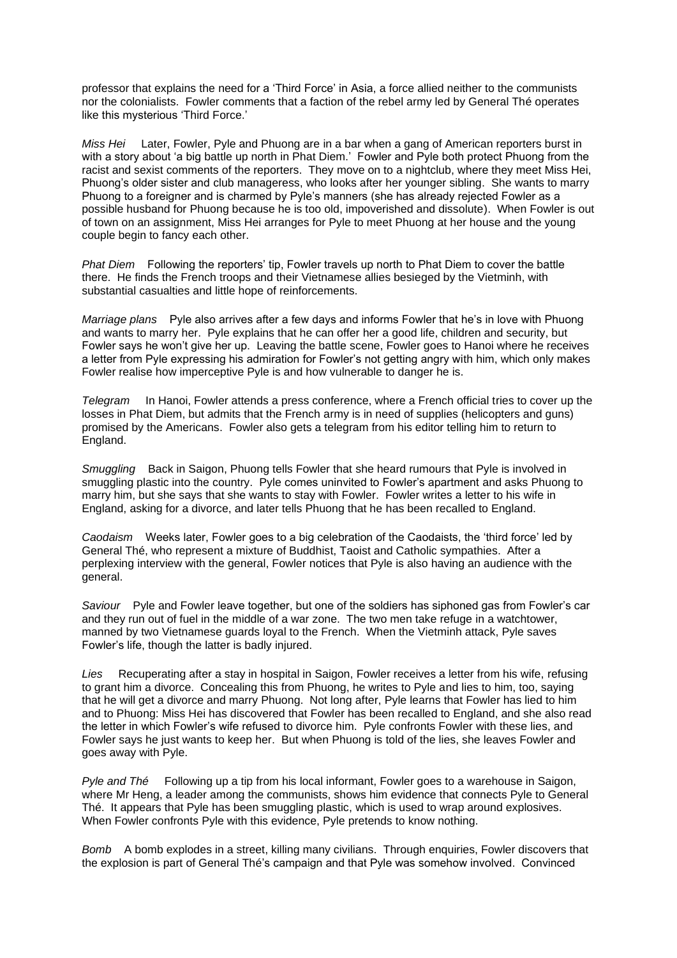professor that explains the need for a 'Third Force' in Asia, a force allied neither to the communists nor the colonialists. Fowler comments that a faction of the rebel army led by General Thé operates like this mysterious 'Third Force.'

*Miss Hei* Later, Fowler, Pyle and Phuong are in a bar when a gang of American reporters burst in with a story about 'a big battle up north in Phat Diem.' Fowler and Pyle both protect Phuong from the racist and sexist comments of the reporters. They move on to a nightclub, where they meet Miss Hei, Phuong's older sister and club manageress, who looks after her younger sibling. She wants to marry Phuong to a foreigner and is charmed by Pyle's manners (she has already rejected Fowler as a possible husband for Phuong because he is too old, impoverished and dissolute). When Fowler is out of town on an assignment, Miss Hei arranges for Pyle to meet Phuong at her house and the young couple begin to fancy each other.

*Phat Diem* Following the reporters' tip, Fowler travels up north to Phat Diem to cover the battle there. He finds the French troops and their Vietnamese allies besieged by the Vietminh, with substantial casualties and little hope of reinforcements.

*Marriage plans* Pyle also arrives after a few days and informs Fowler that he's in love with Phuong and wants to marry her. Pyle explains that he can offer her a good life, children and security, but Fowler says he won't give her up. Leaving the battle scene, Fowler goes to Hanoi where he receives a letter from Pyle expressing his admiration for Fowler's not getting angry with him, which only makes Fowler realise how imperceptive Pyle is and how vulnerable to danger he is.

*Telegram* In Hanoi, Fowler attends a press conference, where a French official tries to cover up the losses in Phat Diem, but admits that the French army is in need of supplies (helicopters and guns) promised by the Americans. Fowler also gets a telegram from his editor telling him to return to England.

*Smuggling* Back in Saigon, Phuong tells Fowler that she heard rumours that Pyle is involved in smuggling plastic into the country. Pyle comes uninvited to Fowler's apartment and asks Phuong to marry him, but she says that she wants to stay with Fowler. Fowler writes a letter to his wife in England, asking for a divorce, and later tells Phuong that he has been recalled to England.

*Caodaism* Weeks later, Fowler goes to a big celebration of the Caodaists, the 'third force' led by General Thé, who represent a mixture of Buddhist, Taoist and Catholic sympathies. After a perplexing interview with the general, Fowler notices that Pyle is also having an audience with the general.

*Saviour* Pyle and Fowler leave together, but one of the soldiers has siphoned gas from Fowler's car and they run out of fuel in the middle of a war zone. The two men take refuge in a watchtower, manned by two Vietnamese guards loyal to the French. When the Vietminh attack, Pyle saves Fowler's life, though the latter is badly injured.

*Lies* Recuperating after a stay in hospital in Saigon, Fowler receives a letter from his wife, refusing to grant him a divorce. Concealing this from Phuong, he writes to Pyle and lies to him, too, saying that he will get a divorce and marry Phuong. Not long after, Pyle learns that Fowler has lied to him and to Phuong: Miss Hei has discovered that Fowler has been recalled to England, and she also read the letter in which Fowler's wife refused to divorce him. Pyle confronts Fowler with these lies, and Fowler says he just wants to keep her. But when Phuong is told of the lies, she leaves Fowler and goes away with Pyle.

*Pyle and Thé* Following up a tip from his local informant, Fowler goes to a warehouse in Saigon, where Mr Heng, a leader among the communists, shows him evidence that connects Pyle to General Thé. It appears that Pyle has been smuggling plastic, which is used to wrap around explosives. When Fowler confronts Pyle with this evidence, Pyle pretends to know nothing.

*Bomb* A bomb explodes in a street, killing many civilians. Through enquiries, Fowler discovers that the explosion is part of General Thé's campaign and that Pyle was somehow involved. Convinced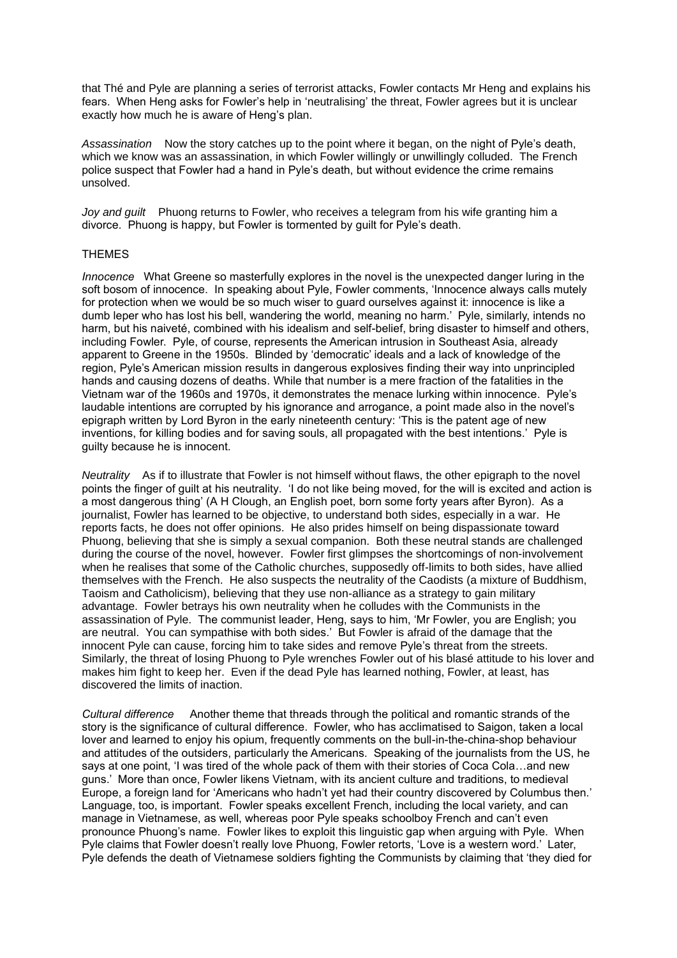that Thé and Pyle are planning a series of terrorist attacks, Fowler contacts Mr Heng and explains his fears. When Heng asks for Fowler's help in 'neutralising' the threat, Fowler agrees but it is unclear exactly how much he is aware of Heng's plan.

*Assassination* Now the story catches up to the point where it began, on the night of Pyle's death, which we know was an assassination, in which Fowler willingly or unwillingly colluded. The French police suspect that Fowler had a hand in Pyle's death, but without evidence the crime remains unsolved.

*Joy and guilt* Phuong returns to Fowler, who receives a telegram from his wife granting him a divorce. Phuong is happy, but Fowler is tormented by guilt for Pyle's death.

#### THEMES

*Innocence* What Greene so masterfully explores in the novel is the unexpected danger luring in the soft bosom of innocence. In speaking about Pyle, Fowler comments, 'Innocence always calls mutely for protection when we would be so much wiser to guard ourselves against it: innocence is like a dumb leper who has lost his bell, wandering the world, meaning no harm.' Pyle, similarly, intends no harm, but his naiveté, combined with his idealism and self-belief, bring disaster to himself and others, including Fowler. Pyle, of course, represents the American intrusion in Southeast Asia, already apparent to Greene in the 1950s. Blinded by 'democratic' ideals and a lack of knowledge of the region, Pyle's American mission results in dangerous explosives finding their way into unprincipled hands and causing dozens of deaths. While that number is a mere fraction of the fatalities in the Vietnam war of the 1960s and 1970s, it demonstrates the menace lurking within innocence. Pyle's laudable intentions are corrupted by his ignorance and arrogance, a point made also in the novel's epigraph written by Lord Byron in the early nineteenth century: 'This is the patent age of new inventions, for killing bodies and for saving souls, all propagated with the best intentions.' Pyle is guilty because he is innocent.

*Neutrality* As if to illustrate that Fowler is not himself without flaws, the other epigraph to the novel points the finger of guilt at his neutrality. 'I do not like being moved, for the will is excited and action is a most dangerous thing' (A H Clough, an English poet, born some forty years after Byron). As a journalist, Fowler has learned to be objective, to understand both sides, especially in a war. He reports facts, he does not offer opinions. He also prides himself on being dispassionate toward Phuong, believing that she is simply a sexual companion. Both these neutral stands are challenged during the course of the novel, however. Fowler first glimpses the shortcomings of non-involvement when he realises that some of the Catholic churches, supposedly off-limits to both sides, have allied themselves with the French. He also suspects the neutrality of the Caodists (a mixture of Buddhism, Taoism and Catholicism), believing that they use non-alliance as a strategy to gain military advantage. Fowler betrays his own neutrality when he colludes with the Communists in the assassination of Pyle. The communist leader, Heng, says to him, 'Mr Fowler, you are English; you are neutral. You can sympathise with both sides.' But Fowler is afraid of the damage that the innocent Pyle can cause, forcing him to take sides and remove Pyle's threat from the streets. Similarly, the threat of losing Phuong to Pyle wrenches Fowler out of his blasé attitude to his lover and makes him fight to keep her. Even if the dead Pyle has learned nothing, Fowler, at least, has discovered the limits of inaction.

*Cultural difference* Another theme that threads through the political and romantic strands of the story is the significance of cultural difference. Fowler, who has acclimatised to Saigon, taken a local lover and learned to enjoy his opium, frequently comments on the bull-in-the-china-shop behaviour and attitudes of the outsiders, particularly the Americans. Speaking of the journalists from the US, he says at one point, 'I was tired of the whole pack of them with their stories of Coca Cola…and new guns.' More than once, Fowler likens Vietnam, with its ancient culture and traditions, to medieval Europe, a foreign land for 'Americans who hadn't yet had their country discovered by Columbus then.' Language, too, is important. Fowler speaks excellent French, including the local variety, and can manage in Vietnamese, as well, whereas poor Pyle speaks schoolboy French and can't even pronounce Phuong's name. Fowler likes to exploit this linguistic gap when arguing with Pyle. When Pyle claims that Fowler doesn't really love Phuong, Fowler retorts, 'Love is a western word.' Later, Pyle defends the death of Vietnamese soldiers fighting the Communists by claiming that 'they died for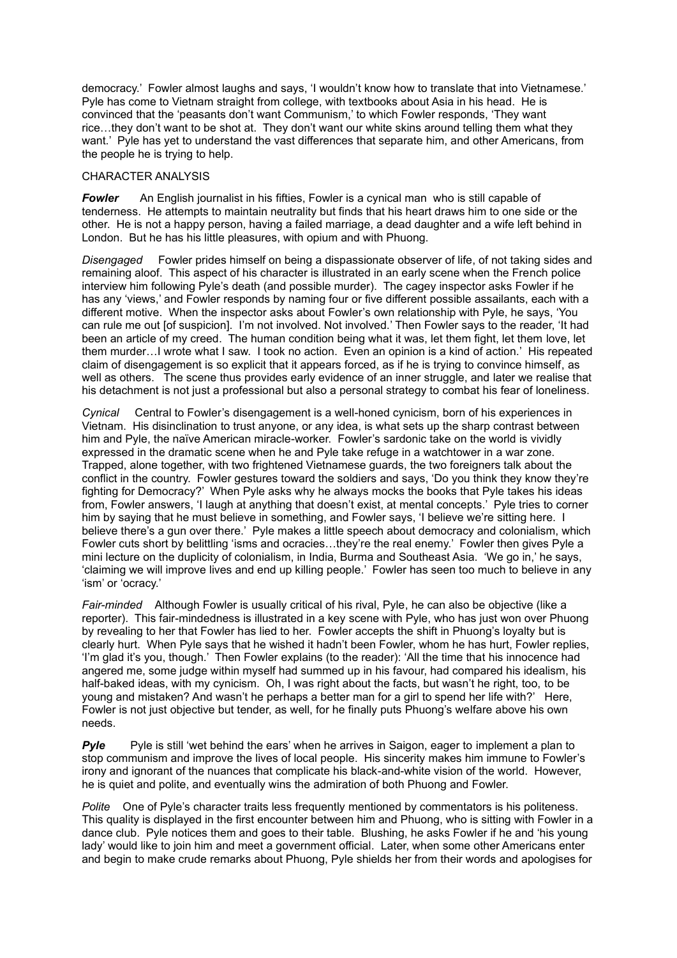democracy.' Fowler almost laughs and says, 'I wouldn't know how to translate that into Vietnamese.' Pyle has come to Vietnam straight from college, with textbooks about Asia in his head. He is convinced that the 'peasants don't want Communism,' to which Fowler responds, 'They want rice…they don't want to be shot at. They don't want our white skins around telling them what they want.' Pyle has yet to understand the vast differences that separate him, and other Americans, from the people he is trying to help.

# CHARACTER ANALYSIS

**Fowler** An English journalist in his fifties, Fowler is a cynical man who is still capable of tenderness. He attempts to maintain neutrality but finds that his heart draws him to one side or the other. He is not a happy person, having a failed marriage, a dead daughter and a wife left behind in London. But he has his little pleasures, with opium and with Phuong.

*Disengaged* Fowler prides himself on being a dispassionate observer of life, of not taking sides and remaining aloof. This aspect of his character is illustrated in an early scene when the French police interview him following Pyle's death (and possible murder). The cagey inspector asks Fowler if he has any 'views,' and Fowler responds by naming four or five different possible assailants, each with a different motive. When the inspector asks about Fowler's own relationship with Pyle, he says, 'You can rule me out [of suspicion]. I'm not involved. Not involved.' Then Fowler says to the reader, 'It had been an article of my creed. The human condition being what it was, let them fight, let them love, let them murder…I wrote what I saw. I took no action. Even an opinion is a kind of action.' His repeated claim of disengagement is so explicit that it appears forced, as if he is trying to convince himself, as well as others. The scene thus provides early evidence of an inner struggle, and later we realise that his detachment is not just a professional but also a personal strategy to combat his fear of loneliness.

*Cynical* Central to Fowler's disengagement is a well-honed cynicism, born of his experiences in Vietnam. His disinclination to trust anyone, or any idea, is what sets up the sharp contrast between him and Pyle, the naïve American miracle-worker. Fowler's sardonic take on the world is vividly expressed in the dramatic scene when he and Pyle take refuge in a watchtower in a war zone. Trapped, alone together, with two frightened Vietnamese guards, the two foreigners talk about the conflict in the country. Fowler gestures toward the soldiers and says, 'Do you think they know they're fighting for Democracy?' When Pyle asks why he always mocks the books that Pyle takes his ideas from, Fowler answers, 'I laugh at anything that doesn't exist, at mental concepts.' Pyle tries to corner him by saying that he must believe in something, and Fowler says, 'I believe we're sitting here. I believe there's a gun over there.' Pyle makes a little speech about democracy and colonialism, which Fowler cuts short by belittling 'isms and ocracies…they're the real enemy.' Fowler then gives Pyle a mini lecture on the duplicity of colonialism, in India, Burma and Southeast Asia. 'We go in,' he says, 'claiming we will improve lives and end up killing people.' Fowler has seen too much to believe in any 'ism' or 'ocracy.'

*Fair-minded* Although Fowler is usually critical of his rival, Pyle, he can also be objective (like a reporter). This fair-mindedness is illustrated in a key scene with Pyle, who has just won over Phuong by revealing to her that Fowler has lied to her. Fowler accepts the shift in Phuong's loyalty but is clearly hurt. When Pyle says that he wished it hadn't been Fowler, whom he has hurt, Fowler replies, 'I'm glad it's you, though.' Then Fowler explains (to the reader): 'All the time that his innocence had angered me, some judge within myself had summed up in his favour, had compared his idealism, his half-baked ideas, with my cynicism. Oh, I was right about the facts, but wasn't he right, too, to be young and mistaken? And wasn't he perhaps a better man for a girl to spend her life with?' Here, Fowler is not just objective but tender, as well, for he finally puts Phuong's welfare above his own needs.

**Pyle** Pyle is still 'wet behind the ears' when he arrives in Saigon, eager to implement a plan to stop communism and improve the lives of local people. His sincerity makes him immune to Fowler's irony and ignorant of the nuances that complicate his black-and-white vision of the world. However, he is quiet and polite, and eventually wins the admiration of both Phuong and Fowler.

*Polite* One of Pyle's character traits less frequently mentioned by commentators is his politeness. This quality is displayed in the first encounter between him and Phuong, who is sitting with Fowler in a dance club. Pyle notices them and goes to their table. Blushing, he asks Fowler if he and 'his young lady' would like to join him and meet a government official. Later, when some other Americans enter and begin to make crude remarks about Phuong, Pyle shields her from their words and apologises for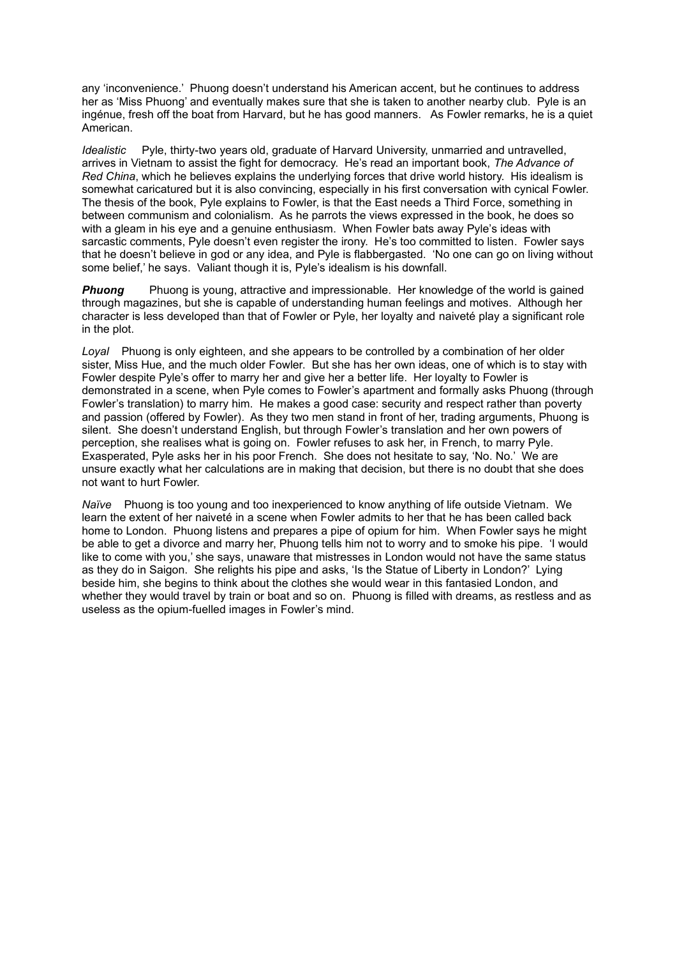any 'inconvenience.' Phuong doesn't understand his American accent, but he continues to address her as 'Miss Phuong' and eventually makes sure that she is taken to another nearby club. Pyle is an ingénue, fresh off the boat from Harvard, but he has good manners. As Fowler remarks, he is a quiet American.

*Idealistic* Pyle, thirty-two years old, graduate of Harvard University, unmarried and untravelled, arrives in Vietnam to assist the fight for democracy. He's read an important book, *The Advance of Red China*, which he believes explains the underlying forces that drive world history. His idealism is somewhat caricatured but it is also convincing, especially in his first conversation with cynical Fowler. The thesis of the book, Pyle explains to Fowler, is that the East needs a Third Force, something in between communism and colonialism. As he parrots the views expressed in the book, he does so with a gleam in his eye and a genuine enthusiasm. When Fowler bats away Pyle's ideas with sarcastic comments, Pyle doesn't even register the irony. He's too committed to listen. Fowler says that he doesn't believe in god or any idea, and Pyle is flabbergasted. 'No one can go on living without some belief,' he says. Valiant though it is, Pyle's idealism is his downfall.

**Phuong** Phuong is young, attractive and impressionable. Her knowledge of the world is gained through magazines, but she is capable of understanding human feelings and motives. Although her character is less developed than that of Fowler or Pyle, her loyalty and naiveté play a significant role in the plot.

*Loyal* Phuong is only eighteen, and she appears to be controlled by a combination of her older sister, Miss Hue, and the much older Fowler. But she has her own ideas, one of which is to stay with Fowler despite Pyle's offer to marry her and give her a better life. Her loyalty to Fowler is demonstrated in a scene, when Pyle comes to Fowler's apartment and formally asks Phuong (through Fowler's translation) to marry him. He makes a good case: security and respect rather than poverty and passion (offered by Fowler). As they two men stand in front of her, trading arguments, Phuong is silent. She doesn't understand English, but through Fowler's translation and her own powers of perception, she realises what is going on. Fowler refuses to ask her, in French, to marry Pyle. Exasperated, Pyle asks her in his poor French. She does not hesitate to say, 'No. No.' We are unsure exactly what her calculations are in making that decision, but there is no doubt that she does not want to hurt Fowler.

*Naïve* Phuong is too young and too inexperienced to know anything of life outside Vietnam. We learn the extent of her naiveté in a scene when Fowler admits to her that he has been called back home to London. Phuong listens and prepares a pipe of opium for him. When Fowler says he might be able to get a divorce and marry her, Phuong tells him not to worry and to smoke his pipe. 'I would like to come with you,' she says, unaware that mistresses in London would not have the same status as they do in Saigon. She relights his pipe and asks, 'Is the Statue of Liberty in London?' Lying beside him, she begins to think about the clothes she would wear in this fantasied London, and whether they would travel by train or boat and so on. Phuong is filled with dreams, as restless and as useless as the opium-fuelled images in Fowler's mind.